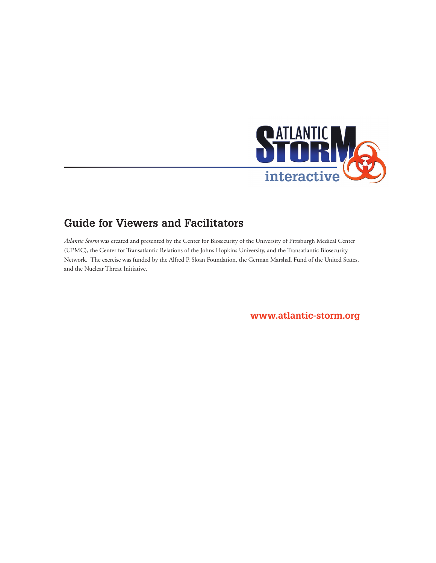

# **Guide for Viewers and Facilitators**

*Atlantic Storm* was created and presented by the Center for Biosecurity of the University of Pittsburgh Medical Center *m*(UPMC), the Center for Transatlantic Relations of the Johns Hopkins University, and the Transatlantic Biosecurity Network. The exercise was funded by the Alfred P. Sloan Foundation, the German Marshall Fund of the United States, and the Nuclear Threat Initiative.

**<www.atlantic-storm.org>**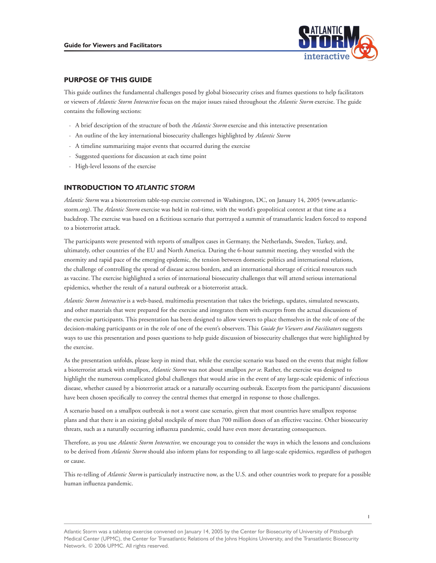

# **PURPOSE OF THIS GUIDE**

or viewers of *Atlantic Storm Interactive* focus on the major issues raised throughout the *Atlantic Storm* exercise. The guide contains the following sections: This guide outlines the fundamental challenges posed by global biosecurity crises and frames questions to help facilitators

- Atlantic Storm exercise and this interactive presentation
- · An outline of the key international biosecurity challenges highlighted by *Atlantic Storm*
- · A timeline summarizing major events that occurred during the exercise
- · Suggested questions for discussion at each time point
- · High-level lessons of the exercise

# **INTRODUCTION TO** *ATLANTIC STORM*

Atlantic Storm exercise was held in real-time, with the world's geopolitical context at that time as a Atlantic Storm was a bioterrorism table-top exercise convened in Washington, DC, on January 14, 2005 [\(www.atlantic](www.atlantic)backdrop. The exercise was based on a fictitious scenario that portrayed a summit of transatlantic leaders forced to respond to a bioterrorist attack.

The participants were presented with reports of smallpox cases in Germany, the Netherlands, Sweden, Turkey, and, ultimately, other countries of the EU and North America. During the 6-hour summit meeting, they wrestled with the enormity and rapid pace of the emerging epidemic, the tension between domestic politics and international relations, the challenge of controlling the spread of disease across borders, and an international shortage of critical resources such as vaccine. The exercise highlighted a series of international biosecurity challenges that will attend serious international epidemics, whether the result of a natural outbreak or a bioterrorist attack.

decision-making participants or in the role of one of the event's observers. This *Guide for Viewers and Facilitators* suggests Atlantic Storm Interactivel is a web-based, multimedia presentation that takes the briefings, updates, simulated newscasts,<br>and other materials that were prepared for the exercise and integrates them with excerpts from the the exercise participants. This presentation has been designed to allow viewers to place themselves in the role of one of the ways to use this presentation and poses questions to help guide discussion of biosecurity challenges that were highlighted by the exercise.

Atlantic Storm was not about smallpox per se. Rather, the exercise was designed to As the presentation unfolds, please keep in mind that, while the exercise scenario was based on the events that might follow highlight the numerous complicated global challenges that would arise in the event of any large-scale epidemic of infectious disease, whether caused by a bioterrorist attack or a naturally occurring outbreak. Excerpts from the participants' discussions have been chosen specifically to convey the central themes that emerged in response to those challenges.

A scenario based on a smallpox outbreak is not a worst case scenario, given that most countries have smallpox response plans and that there is an existing global stockpile of more than 700 million doses of an effective vaccine. Other biosecurity threats, such as a naturally occurring influenza pandemic, could have even more devastating consequences.

to be derived from *Atlantic Storm* should also inform plans for responding to all large-scale epidemics, regardless of pathogen<br>or cause. Therefore, as you use *Atlantic Storm Interactive*, we encourage you to consider the ways in which the lessons and conclusions

Atlantic Storm is particularly instructive now, as the U.S. and other countries work to prepare for a possible human influenza pandemic.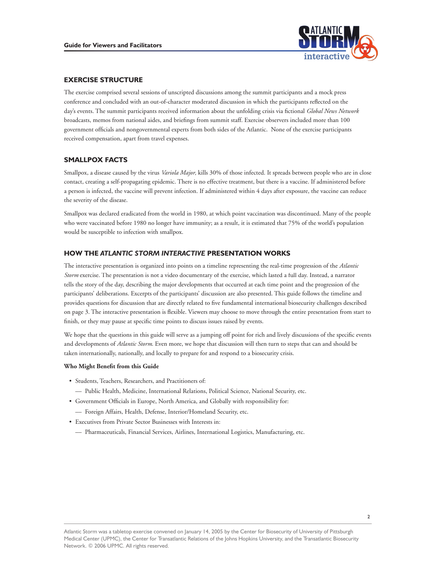

# **EXERCISE STRUCTURE**

The exercise comprised several sessions of unscripted discussions among the summit participants and a mock press conference and concluded with an out-of-character moderated discussion in which the participants reflected on the day's events. The summit participants received information about the unfolding crisis via fictional *Global News Network* broadcasts, memos from national aides, and briefings from summit staff. Exercise observers included more than 100 government officials and nongovernmental experts from both sides of the Atlantic. None of the exercise participants received compensation, apart from travel expenses.

# **SMALLPOX FACTS**

Variola Major, kills 30% of those infected. It spreads between people who are in close contact, creating a self-propagating epidemic. There is no effective treatment, but there is a vaccine. If administered before a person is infected, the vaccine will prevent infection. If administered within 4 days after exposure, the vaccine can reduce the severity of the disease.

Smallpox was declared eradicated from the world in 1980, at which point vaccination was discontinued. Many of the people who were vaccinated before 1980 no longer have immunity; as a result, it is estimated that 75% of the world's population would be susceptible to infection with smallpox.

# **HOW THE** *ATLANTIC STORM INTERACTIVE* **PRESENTATION WORKS**

Storm exercise. The presentation is not a video documentary of the exercise, which lasted a full day. Instead, a narrator The interactive presentation is organized into points on a timeline representing the real-time progression of the *Atlantic*  tells the story of the day, describing the major developments that occurred at each time point and the progression of the participants' deliberations. Excerpts of the participants' discussion are also presented. This guide follows the timeline and provides questions for discussion that are directly related to five fundamental international biosecurity challenges described on page 3. The interactive presentation is flexible. Viewers may choose to move through the entire presentation from start to finish, or they may pause at specific time points to discuss issues raised by events.

We hope that the questions in this guide will serve as a jumping off point for rich and lively discussions of the specific events and developments of *Atlantic Storm*. Even more, we hope that discussion will then turn to steps that can and should be taken internationally, nationally, and locally to prepare for and respond to a biosecurity crisis.

### **Who Might Benefit from this Guide**

- Students, Teachers, Researchers, and Practitioners of:
	- –– Public Health, Medicine, International Relations, Political Science, National Security, etc.
- Government Officials in Europe, North America, and Globally with responsibility for:
	- –– Foreign Affairs, Health, Defense, Interior/Homeland Security, etc.
- Executives from Private Sector Businesses with Interests in:
	- –– Pharmaceuticals, Financial Services, Airlines, International Logistics, Manufacturing, etc.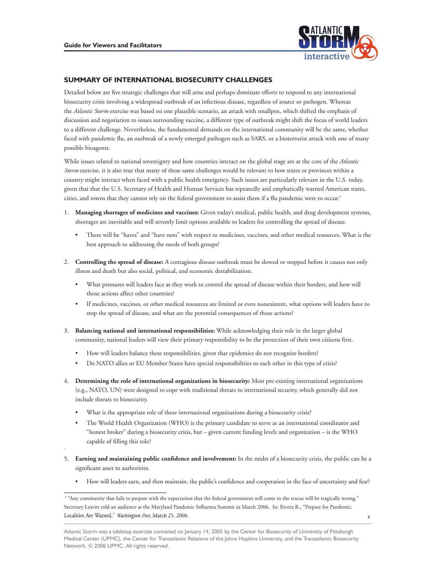

# **SUMMARY OF INTERNATIONAL BIOSECURITY CHALLENGES**

Atlantic Storm exercise was based on one plausible scenario, an attack with smallpox, which shifted the emphasis of **EXERIMENTIONAL BIOSECURITY CHALLENGES**<br> **EXERIMENTION INTERFERIMENTS INTERFERIMENTS INTERFERIMENTS INTERFERIMENTS INTERFERIMENTS INTERFERIMENTS INTERFERIMENT INTERFERIMENT INTERFERIMENT INTERFERIMENT INTERFERIMENT INTERFE** Detailed below are five strategic challenges that will arise and perhaps dominate efforts to respond to any international biosecurity crisis involving a widespread outbreak of an infectious disease, regardless of source or pathogen. Whereas discussion and negotiation to issues surrounding vaccine, a different type of outbreak might shift the focus of world leaders to a different challenge. Nevertheless, the fundamental demands on the international community will be the same, whether faced with pandemic flu, an outbreak of a newly emerged pathogen such as SARS, or a bioterrorist attack with one of many possible bioagents.

Storm exercise, it is also true that many of these same challenges would be relevant to how states or provinces within a While issues related to national sovereignty and how countries interact on the global stage are at the core of the *Atlantic*  country might interact when faced with a public health emergency. Such issues are particularly relevant in the U.S. today, given that that the U.S. Secretary of Health and Human Services has repeatedly and emphatically warned American states, cities, and towns that they cannot rely on the federal government to assist them if a flu pandemic were to occur.<sup>1</sup>

- 1. **Managing shortages of medicines and vaccines:** Given today's medical, public health, and drug development systems, shortages are inevitable and will severely limit options available to leaders for controlling the spread of disease.
	- There will be "haves" and "have nots" with respect to medicines, vaccines, and other medical resources. What is the best approach to addressing the needs of both groups?
- 2. **Controlling the spread of disease:** A contagious disease outbreak must be slowed or stopped before it causes not only illness and death but also social, political, and economic destabilization.
	- What pressures will leaders face as they work to control the spread of disease within their borders, and how will those actions affect other countries?
	- If medicines, vaccines, or other medical resources are limited or even nonexistent, what options will leaders have to stop the spread of disease, and what are the potential consequences of those actions?
- 3. **Balancing national and international responsibilities:** While acknowledging their role in the larger global community, national leaders will view their primary responsibility to be the protection of their own citizens first.
	- How will leaders balance these responsibilities, given that epidemics do not recognize borders?
	- Do NATO allies or EU Member States have special responsibilities to each other in this type of crisis?
- 4. **Determining the role of international organizations in biosecurity:** Most pre-existing international organizations (e.g., NATO, UN) were designed to cope with traditional threats to international security, which generally did not include threats to biosecurity.
	- What is the appropriate role of these international organizations during a biosecurity crisis?
	- The World Health Organization (WHO) is the primary candidate to serve as an international coordinator and "honest broker" during a biosecurity crisis, but – given current funding levels and organization – is the WHO capable of filling this role?
- 5. **Earning and maintaining public confidence and involvement:** In the midst of a biosecurity crisis, the public can be a significant asset to authorities.
	- How will leaders earn, and then maintain, the public's confidence and cooperation in the face of uncertainty and fear?

Localities Are Warned," Washington Post, March 25, 2006. <sup>1</sup> "Any community that fails to prepare with the expectation that the federal government will come to the rescue will be tragically wrong," Secretary Leavitt told an audience at the Maryland Pandemic Influenza Summit in March 2006. In: Rivera R., "Prepare for Pandemic,

Atlantic Storm was a tabletop exercise convened on January 14, 2005 by the Center for Biosecurity of University of Pittsburgh Medical Center (UPMC), the Center for Transatlantic Relations of the Johns Hopkins University, and the Transatlantic Biosecurity Network. © 2006 UPMC. All rights reserved.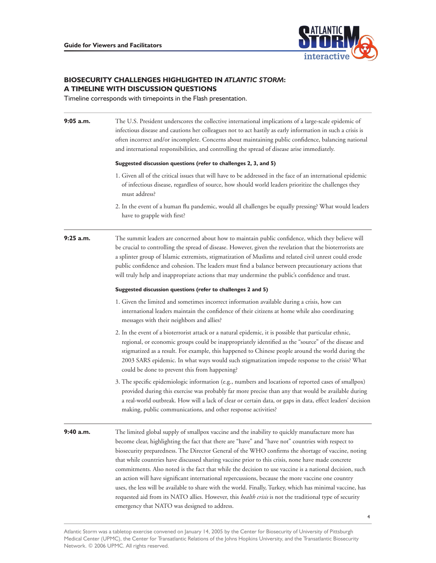

# **BIOSECURITY CHALLENGES HIGHLIGHTED IN** *ATLANTIC STORM***: A TIMELINE WITH DISCUSSION QUESTIONS**

Timeline corresponds with timepoints in the Flash presentation.

| $9:05$ a.m.                                                                                                                                                                                                                                                                                                                                                                                                                                                           | The U.S. President underscores the collective international implications of a large-scale epidemic of<br>infectious disease and cautions her colleagues not to act hastily as early information in such a crisis is<br>often incorrect and/or incomplete. Concerns about maintaining public confidence, balancing national<br>and international responsibilities, and controlling the spread of disease arise immediately.                                                                                                                                                                                                                                                                                                                                                                                                                                                                               |             |                                                                                                                                                                                                                                                                                                                                                                                                                                                                                                                                   |
|-----------------------------------------------------------------------------------------------------------------------------------------------------------------------------------------------------------------------------------------------------------------------------------------------------------------------------------------------------------------------------------------------------------------------------------------------------------------------|----------------------------------------------------------------------------------------------------------------------------------------------------------------------------------------------------------------------------------------------------------------------------------------------------------------------------------------------------------------------------------------------------------------------------------------------------------------------------------------------------------------------------------------------------------------------------------------------------------------------------------------------------------------------------------------------------------------------------------------------------------------------------------------------------------------------------------------------------------------------------------------------------------|-------------|-----------------------------------------------------------------------------------------------------------------------------------------------------------------------------------------------------------------------------------------------------------------------------------------------------------------------------------------------------------------------------------------------------------------------------------------------------------------------------------------------------------------------------------|
|                                                                                                                                                                                                                                                                                                                                                                                                                                                                       | Suggested discussion questions (refer to challenges 2, 3, and 5)<br>1. Given all of the critical issues that will have to be addressed in the face of an international epidemic<br>of infectious disease, regardless of source, how should world leaders prioritize the challenges they<br>must address?<br>2. In the event of a human flu pandemic, would all challenges be equally pressing? What would leaders<br>have to grapple with first?                                                                                                                                                                                                                                                                                                                                                                                                                                                         |             |                                                                                                                                                                                                                                                                                                                                                                                                                                                                                                                                   |
|                                                                                                                                                                                                                                                                                                                                                                                                                                                                       |                                                                                                                                                                                                                                                                                                                                                                                                                                                                                                                                                                                                                                                                                                                                                                                                                                                                                                          | $9:25$ a.m. | The summit leaders are concerned about how to maintain public confidence, which they believe will<br>be crucial to controlling the spread of disease. However, given the revelation that the bioterrorists are<br>a splinter group of Islamic extremists, stigmatization of Muslims and related civil unrest could erode<br>public confidence and cohesion. The leaders must find a balance between precautionary actions that<br>will truly help and inappropriate actions that may undermine the public's confidence and trust. |
|                                                                                                                                                                                                                                                                                                                                                                                                                                                                       |                                                                                                                                                                                                                                                                                                                                                                                                                                                                                                                                                                                                                                                                                                                                                                                                                                                                                                          |             | Suggested discussion questions (refer to challenges 2 and 5)                                                                                                                                                                                                                                                                                                                                                                                                                                                                      |
| 1. Given the limited and sometimes incorrect information available during a crisis, how can<br>international leaders maintain the confidence of their citizens at home while also coordinating<br>messages with their neighbors and allies?                                                                                                                                                                                                                           |                                                                                                                                                                                                                                                                                                                                                                                                                                                                                                                                                                                                                                                                                                                                                                                                                                                                                                          |             |                                                                                                                                                                                                                                                                                                                                                                                                                                                                                                                                   |
| 2. In the event of a bioterrorist attack or a natural epidemic, it is possible that particular ethnic,<br>regional, or economic groups could be inappropriately identified as the "source" of the disease and<br>stigmatized as a result. For example, this happened to Chinese people around the world during the<br>2003 SARS epidemic. In what ways would such stigmatization impede response to the crisis? What<br>could be done to prevent this from happening? |                                                                                                                                                                                                                                                                                                                                                                                                                                                                                                                                                                                                                                                                                                                                                                                                                                                                                                          |             |                                                                                                                                                                                                                                                                                                                                                                                                                                                                                                                                   |
| 3. The specific epidemiologic information (e.g., numbers and locations of reported cases of smallpox)<br>provided during this exercise was probably far more precise than any that would be available during<br>a real-world outbreak. How will a lack of clear or certain data, or gaps in data, effect leaders' decision<br>making, public communications, and other response activities?                                                                           |                                                                                                                                                                                                                                                                                                                                                                                                                                                                                                                                                                                                                                                                                                                                                                                                                                                                                                          |             |                                                                                                                                                                                                                                                                                                                                                                                                                                                                                                                                   |
| 9:40 a.m.                                                                                                                                                                                                                                                                                                                                                                                                                                                             | The limited global supply of smallpox vaccine and the inability to quickly manufacture more has<br>become clear, highlighting the fact that there are "have" and "have not" countries with respect to<br>biosecurity preparedness. The Director General of the WHO confirms the shortage of vaccine, noting<br>that while countries have discussed sharing vaccine prior to this crisis, none have made concrete<br>commitments. Also noted is the fact that while the decision to use vaccine is a national decision, such<br>an action will have significant international repercussions, because the more vaccine one country<br>uses, the less will be available to share with the world. Finally, Turkey, which has minimal vaccine, has<br>requested aid from its NATO allies. However, this health crisis is not the traditional type of security<br>emergency that NATO was designed to address. |             |                                                                                                                                                                                                                                                                                                                                                                                                                                                                                                                                   |
|                                                                                                                                                                                                                                                                                                                                                                                                                                                                       | 4                                                                                                                                                                                                                                                                                                                                                                                                                                                                                                                                                                                                                                                                                                                                                                                                                                                                                                        |             |                                                                                                                                                                                                                                                                                                                                                                                                                                                                                                                                   |

Atlantic Storm was a tabletop exercise convened on January 14, 2005 by the Center for Biosecurity of University of Pittsburgh Medical Center (UPMC), the Center for Transatlantic Relations of the Johns Hopkins University, and the Transatlantic Biosecurity Network. © 2006 UPMC. All rights reserved.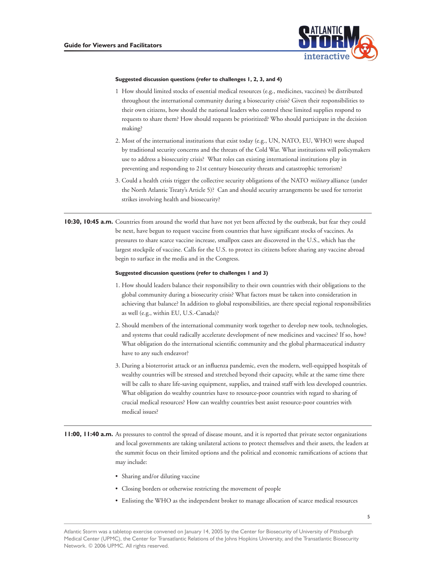

### **Suggested discussion questions (refer to challenges 1, 2, 3, and 4)**

- 1 How should limited stocks of essential medical resources (e.g., medicines, vaccines) be distributed throughout the international community during a biosecurity crisis? Given their responsibilities to their own citizens, how should the national leaders who control these limited supplies respond to requests to share them? How should requests be prioritized? Who should participate in the decision making?
- 2. Most of the international institutions that exist today (e.g., UN, NATO, EU, WHO) were shaped by traditional security concerns and the threats of the Cold War. What institutions will policymakers use to address a biosecurity crisis? What roles can existing international institutions play in preventing and responding to 21st century biosecurity threats and catastrophic terrorism?
- 3. Could a health crisis trigger the collective security obligations of the NATO *military* alliance (under the North Atlantic Treaty's Article 5)? Can and should security arrangements be used for terrorist strikes involving health and biosecurity?

**10:30, 10:45 a.m.** Countries from around the world that have not yet been affected by the outbreak, but fear they could be next, have begun to request vaccine from countries that have significant stocks of vaccines. As pressures to share scarce vaccine increase, smallpox cases are discovered in the U.S., which has the largest stockpile of vaccine. Calls for the U.S. to protect its citizens before sharing any vaccine abroad begin to surface in the media and in the Congress.

### **Suggested discussion questions (refer to challenges 1 and 3)**

- 1. How should leaders balance their responsibility to their own countries with their obligations to the global community during a biosecurity crisis? What factors must be taken into consideration in achieving that balance? In addition to global responsibilities, are there special regional responsibilities as well (e.g., within EU, U.S.-Canada)?
- 2. Should members of the international community work together to develop new tools, technologies, and systems that could radically accelerate development of new medicines and vaccines? If so, how? What obligation do the international scientific community and the global pharmaceutical industry have to any such endeavor?
- 3. During a bioterrorist attack or an influenza pandemic, even the modern, well-equipped hospitals of wealthy countries will be stressed and stretched beyond their capacity, while at the same time there will be calls to share life-saving equipment, supplies, and trained staff with less developed countries. What obligation do wealthy countries have to resource-poor countries with regard to sharing of crucial medical resources? How can wealthy countries best assist resource-poor countries with medical issues?
- **11:00, 11:40 a.m.** As pressures to control the spread of disease mount, and it is reported that private sector organizations and local governments are taking unilateral actions to protect themselves and their assets, the leaders at the summit focus on their limited options and the political and economic ramifications of actions that may include:
	- Sharing and/or diluting vaccine
	- Closing borders or otherwise restricting the movement of people
	- Enlisting the WHO as the independent broker to manage allocation of scarce medical resources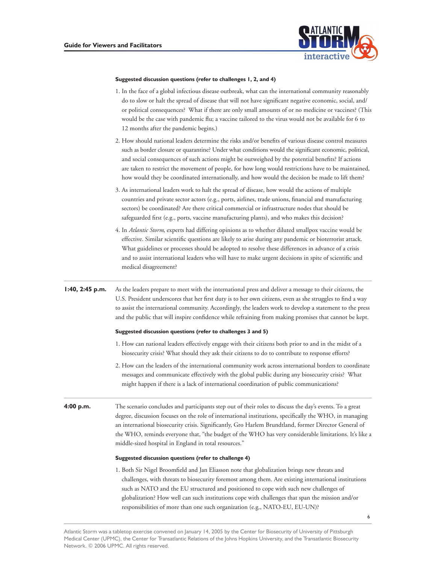

### **Suggested discussion questions (refer to challenges 1, 2, and 4)**

- 1. In the face of a global infectious disease outbreak, what can the international community reasonably do to slow or halt the spread of disease that will not have significant negative economic, social, and/ or political consequences? What if there are only small amounts of or no medicine or vaccines? (This would be the case with pandemic flu; a vaccine tailored to the virus would not be available for 6 to 12 months after the pandemic begins.)
- such as border closure or quarantine? Under what conditions would the significant economic, political, 2. How should national leaders determine the risks and/or benefits of various disease control measures and social consequences of such actions might be outweighed by the potential benefits? If actions are taken to restrict the movement of people, for how long would restrictions have to be maintained, how would they be coordinated internationally, and how would the decision be made to lift them?
- 3. As international leaders work to halt the spread of disease, how would the actions of multiple countries and private sector actors (e.g., ports, airlines, trade unions, financial and manufacturing sectors) be coordinated? Are there critical commercial or infrastructure nodes that should be safeguarded first (e.g., ports, vaccine manufacturing plants), and who makes this decision?
- 4. In *Atlantic Storm*, experts had differing opinions as to whether diluted smallpox vaccine would be effective. Similar scientific questions are likely to arise during any pandemic or bioterrorist attack. What guidelines or processes should be adopted to resolve these differences in advance of a crisis and to assist international leaders who will have to make urgent decisions in spite of scientific and medical disagreement?

**1:40, 2:45 p.m.** As the leaders prepare to meet with the international press and deliver a message to their citizens, the U.S. President underscores that her first duty is to her own citizens, even as she struggles to find a way to assist the international community. Accordingly, the leaders work to develop a statement to the press and the public that will inspire confidence while refraining from making promises that cannot be kept.

#### **Suggested discussion questions (refer to challenges 3 and 5)**

- 1. How can national leaders effectively engage with their citizens both prior to and in the midst of a biosecurity crisis? What should they ask their citizens to do to contribute to response efforts?
- 2. How can the leaders of the international community work across international borders to coordinate messages and communicate effectively with the global public during any biosecurity crisis? What might happen if there is a lack of international coordination of public communications?
- **4:00 p.m.** The scenario concludes and participants step out of their roles to discuss the day's events. To a great degree, discussion focuses on the role of international institutions, specifically the WHO, in managing an international biosecurity crisis. Significantly, Gro Harlem Brundtland, former Director General of the WHO, reminds everyone that, "the budget of the WHO has very considerable limitations. It's like a middle-sized hospital in England in total resources."

### **Suggested discussion questions (refer to challenge 4)**

1. Both Sir Nigel Broomfield and Jan Eliasson note that globalization brings new threats and challenges, with threats to biosecurity foremost among them. Are existing international institutions such as NATO and the EU structured and positioned to cope with such new challenges of globalization? How well can such institutions cope with challenges that span the mission and/or responsibilities of more than one such organization (e.g., NATO-EU, EU-UN)?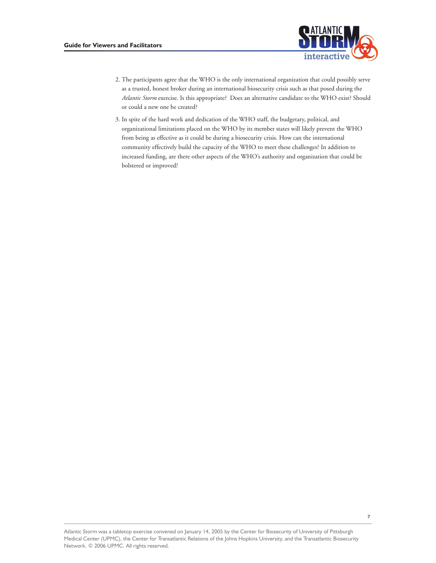

- Atlantic Storm exercise. Is this appropriate? Does an alternative candidate to the WHO exist? Should 2. The participants agree that the WHO is the only international organization that could possibly serve as a trusted, honest broker during an international biosecurity crisis such as that posed during the or could a new one be created?
- 3. In spite of the hard work and dedication of the WHO staff, the budgetary, political, and organizational limitations placed on the WHO by its member states will likely prevent the WHO from being as effective as it could be during a biosecurity crisis. How can the international community effectively build the capacity of the WHO to meet these challenges? In addition to increased funding, are there other aspects of the WHO's authority and organization that could be bolstered or improved?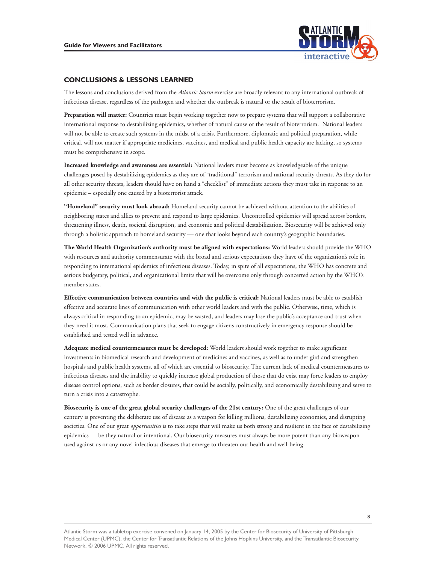

### **CONCLUSIONS & LESSONS LEARNED**

Atlantic Storm exercise are broadly relevant to any international outbreak of infectious disease, regardless of the pathogen and whether the outbreak is natural or the result of bioterrorism.

**Preparation will matter:** Countries must begin working together now to prepare systems that will support a collaborative international response to destabilizing epidemics, whether of natural cause or the result of bioterrorism. National leaders will not be able to create such systems in the midst of a crisis. Furthermore, diplomatic and political preparation, while critical, will not matter if appropriate medicines, vaccines, and medical and public health capacity are lacking, so systems must be comprehensive in scope.

**Increased knowledge and awareness are essential:** National leaders must become as knowledgeable of the unique challenges posed by destabilizing epidemics as they are of "traditional" terrorism and national security threats. As they do for all other security threats, leaders should have on hand a "checklist" of immediate actions they must take in response to an epidemic – especially one caused by a bioterrorist attack.

**"Homeland" security must look abroad:** Homeland security cannot be achieved without attention to the abilities of neighboring states and allies to prevent and respond to large epidemics. Uncontrolled epidemics will spread across borders, threatening illness, death, societal disruption, and economic and political destabilization. Biosecurity will be achieved only through a holistic approach to homeland security — one that looks beyond each country's geographic boundaries.

**The World Health Organization's authority must be aligned with expectations:** World leaders should provide the WHO with resources and authority commensurate with the broad and serious expectations they have of the organization's role in responding to international epidemics of infectious diseases. Today, in spite of all expectations, the WHO has concrete and serious budgetary, political, and organizational limits that will be overcome only through concerted action by the WHO's member states.

**Effective communication between countries and with the public is critical:** National leaders must be able to establish effective and accurate lines of communication with other world leaders and with the public. Otherwise, time, which is always critical in responding to an epidemic, may be wasted, and leaders may lose the public's acceptance and trust when they need it most. Communication plans that seek to engage citizens constructively in emergency response should be established and tested well in advance.

**Adequate medical countermeasures must be developed:** World leaders should work together to make significant investments in biomedical research and development of medicines and vaccines, as well as to under gird and strengthen hospitals and public health systems, all of which are essential to biosecurity. The current lack of medical countermeasures to infectious diseases and the inability to quickly increase global production of those that do exist may force leaders to employ disease control options, such as border closures, that could be socially, politically, and economically destabilizing and serve to turn a crisis into a catastrophe.

societies. One of our great *opportunities* is to take steps that will make us both strong and resilient in the face of destabilizing **Biosecurity is one of the great global security challenges of the 21st century:** One of the great challenges of our century is preventing the deliberate use of disease as a weapon for killing millions, destabilizing economies, and disrupting epidemics –– be they natural or intentional. Our biosecurity measures must always be more potent than any bioweapon used against us or any novel infectious diseases that emerge to threaten our health and well-being.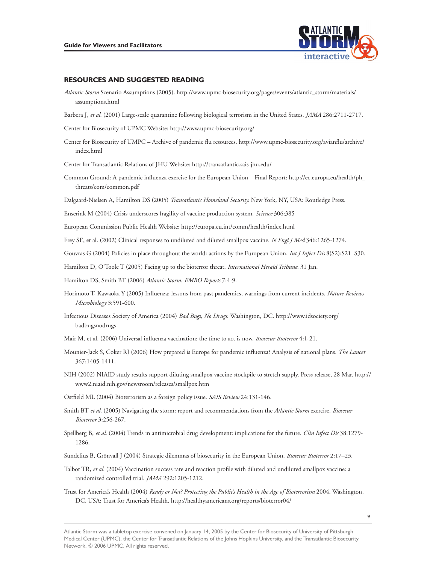

### **RESOURCES AND SUGGESTED READING**

- Atlantic Storm Scenario Assumptions (2005). [http://www.upmc-biosecurity.org/pages/events/atlantic\\_storm/materials](http://www.upmc-biosecurity.org/pages/events/atlantic_storm/materials)/<br>assumptions.html
- Barbera J, *et al.* (2001) Large-scale quarantine following biological terrorism in the United States. *JAMA* 286:2711-2717.
- Center for Biosecurity of UPMC Website: [http://www.upmc-biosecurity.org/](http://www.upmc-biosecurity.org)
- Center for Biosecurity of UMPC Archive of pandemic flu resources. [http://www.upmc-biosecurity.org/avianflu/archive/](http://www.upmc-biosecurity.org/avianflu/archive) index.html

Center for Transatlantic Relations of JHU Website: [http://transatlantic.sais-jhu.edu/](http://transatlantic.sais-jhu.edu)

- Common Ground: A pandemic influenza exercise for the European Union Final Report: [http://ec.europa.eu/health/ph\\_](http://ec.europa.eu/health/ph) threats/com/common.pdf
- Dalgaard-Nielsen A, Hamilton DS (2005) *Transatlantic Homeland Security.* New York, NY, USA: Routledge Press.
- 306:385 *Science*

European Commission Public Health Website: <http://europa.eu.int/comm/health/index.html>

346:1265-1274. *N Engl J Med*

Frey SE, et al. (2002) Clinical responses to undiluted and diluted smallpox vaccine. *N Engl J Med* 346:1265-1274.<br>Gouvras G (2004) Policies in place throughout the world: actions by the European Union. *Int J Infect Dis*(

International Herald Tribune, 31 Jan.

7:4-9. *EMBO Reports*

- 3:591-600. *Microbiology* Horimoto T, Kawaoka Y (2005) Influenza: lessons from past pandemics, warnings from current incidents. Nature Reviews
- Infectious Diseases Society of America (2004) *Bad Bugs, No Drugs*. Washington, DC. [http://www.idsociety.org/](http://www.idsociety.org) badbugsnodrugs
- 4:1-21. *Biosecur Bioterror*
- Mounier-Jack S, Coker RJ (2006) How prepared is Europe for pandemic influenza? Analysis of national plans. *The Lancet* 367:1405-1411.
- NIH (2002) NIAID study results support diluting smallpox vaccine stockpile to stretch supply. Press release, 28 Mar. http:// [www2.niaid.nih.gov/newsroom/releases/smallpox.htm](https://www2.niaid.nih.gov/newsroom/releases/smallpox.htm)
- 24:131-146. *SAIS Review*
- 3:256-267. *Bioterror* Ostfield ML (2004) Bioterrorism as a foreign policy issue. *SAIS Revieu*l 24:131-146.<br>Smith BT *et al*. (2005) Navigating the storm: report and recommendations from the *Atlantic Storm* exercise. *Biosecur*
- Spellberg B, *et al.* (2004) Trends in antimicrobial drug development: implications for the future. *Clin Infect Dis* 38:1279-<br>1286.
- 2:17–23. *Biosecur Bioterror*
- 292:1205-1212. *JAMA* Talbot TR, et al. (2004) Vaccination success rate and reaction profile with diluted and undiluted smallpox vaccine: a
- Ready or Not? Protecting the Public's Health in the Age of Bioterrorism<sup>2004</sup>. Washington, randomized controlled trial. JAMA 292:1205-1212.<br>Trust for America's Health (2004) *Ready or Not? Protecting the Public's Health in the Age of Bi*<br>DC, USA: Trust for America's Health. http://healthyamericans.org/reports/bi